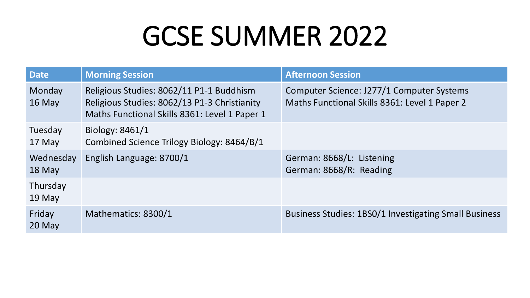| <b>Date</b>         | <b>Morning Session</b>                                                                                                                    | <b>Afternoon Session</b>                                                                   |
|---------------------|-------------------------------------------------------------------------------------------------------------------------------------------|--------------------------------------------------------------------------------------------|
| Monday<br>16 May    | Religious Studies: 8062/11 P1-1 Buddhism<br>Religious Studies: 8062/13 P1-3 Christianity<br>Maths Functional Skills 8361: Level 1 Paper 1 | Computer Science: J277/1 Computer Systems<br>Maths Functional Skills 8361: Level 1 Paper 2 |
| Tuesday<br>17 May   | Biology: 8461/1<br>Combined Science Trilogy Biology: 8464/B/1                                                                             |                                                                                            |
| Wednesday<br>18 May | English Language: 8700/1                                                                                                                  | German: 8668/L: Listening<br>German: 8668/R: Reading                                       |
| Thursday<br>19 May  |                                                                                                                                           |                                                                                            |
| Friday<br>20 May    | Mathematics: 8300/1                                                                                                                       | <b>Business Studies: 1BS0/1 Investigating Small Business</b>                               |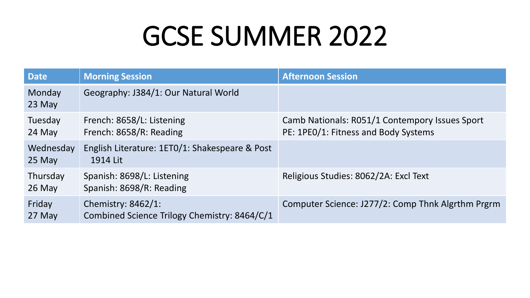| <b>Date</b>           | <b>Morning Session</b>                                             | <b>Afternoon Session</b>                                                               |
|-----------------------|--------------------------------------------------------------------|----------------------------------------------------------------------------------------|
| Monday<br>23 May      | Geography: J384/1: Our Natural World                               |                                                                                        |
| Tuesday<br>24 May     | French: 8658/L: Listening<br>French: 8658/R: Reading               | Camb Nationals: R051/1 Contempory Issues Sport<br>PE: 1PE0/1: Fitness and Body Systems |
| Wednesday<br>$25$ May | English Literature: 1ETO/1: Shakespeare & Post<br>1914 Lit         |                                                                                        |
| Thursday<br>$26$ May  | Spanish: 8698/L: Listening<br>Spanish: 8698/R: Reading             | Religious Studies: 8062/2A: Excl Text                                                  |
| Friday<br>27 May      | Chemistry: 8462/1:<br>Combined Science Trilogy Chemistry: 8464/C/1 | Computer Science: J277/2: Comp Thnk Algrthm Prgrm                                      |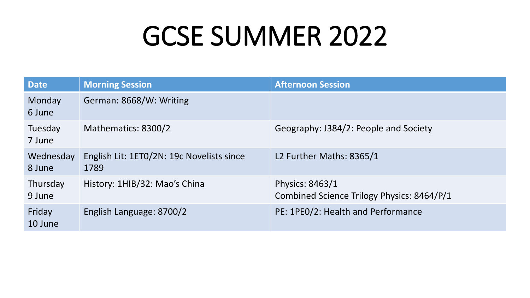| Date                | <b>Morning Session</b>                            | <b>Afternoon Session</b>                                      |
|---------------------|---------------------------------------------------|---------------------------------------------------------------|
| Monday<br>6 June    | German: 8668/W: Writing                           |                                                               |
| Tuesday<br>7 June   | Mathematics: 8300/2                               | Geography: J384/2: People and Society                         |
| Wednesday<br>8 June | English Lit: 1ETO/2N: 19c Novelists since<br>1789 | L2 Further Maths: 8365/1                                      |
| Thursday<br>9 June  | History: 1HIB/32: Mao's China                     | Physics: 8463/1<br>Combined Science Trilogy Physics: 8464/P/1 |
| Friday<br>10 June   | English Language: 8700/2                          | PE: 1PE0/2: Health and Performance                            |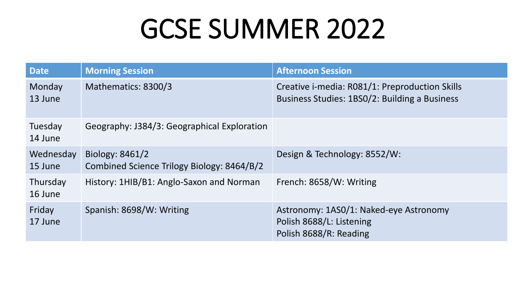| <b>Date</b>          | <b>Morning Session</b>                                        | <b>Afternoon Session</b>                                                                        |
|----------------------|---------------------------------------------------------------|-------------------------------------------------------------------------------------------------|
| Monday<br>13 June    | Mathematics: 8300/3                                           | Creative i-media: R081/1: Preproduction Skills<br>Business Studies: 1BS0/2: Building a Business |
| Tuesday<br>14 June   | Geography: J384/3: Geographical Exploration                   |                                                                                                 |
| Wednesday<br>15 June | Biology: 8461/2<br>Combined Science Trilogy Biology: 8464/B/2 | Design & Technology: 8552/W:                                                                    |
| Thursday<br>16 June  | History: 1HIB/B1: Anglo-Saxon and Norman                      | French: 8658/W: Writing                                                                         |
| Friday<br>17 June    | Spanish: 8698/W: Writing                                      | Astronomy: 1AS0/1: Naked-eye Astronomy<br>Polish 8688/L: Listening<br>Polish 8688/R: Reading    |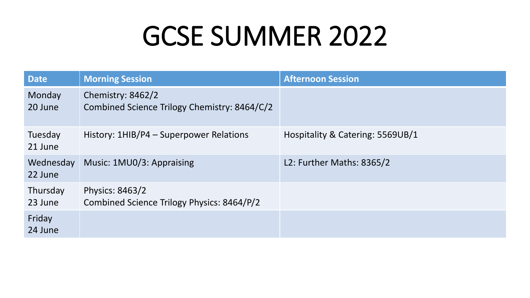| <b>Date</b>          | <b>Morning Session</b>                                            | <b>Afternoon Session</b>         |
|----------------------|-------------------------------------------------------------------|----------------------------------|
| Monday<br>20 June    | Chemistry: 8462/2<br>Combined Science Trilogy Chemistry: 8464/C/2 |                                  |
| Tuesday<br>21 June   | History: 1HIB/P4 - Superpower Relations                           | Hospitality & Catering: 5569UB/1 |
| Wednesday<br>22 June | Music: 1MU0/3: Appraising                                         | L2: Further Maths: 8365/2        |
| Thursday<br>23 June  | Physics: 8463/2<br>Combined Science Trilogy Physics: 8464/P/2     |                                  |
| Friday<br>24 June    |                                                                   |                                  |